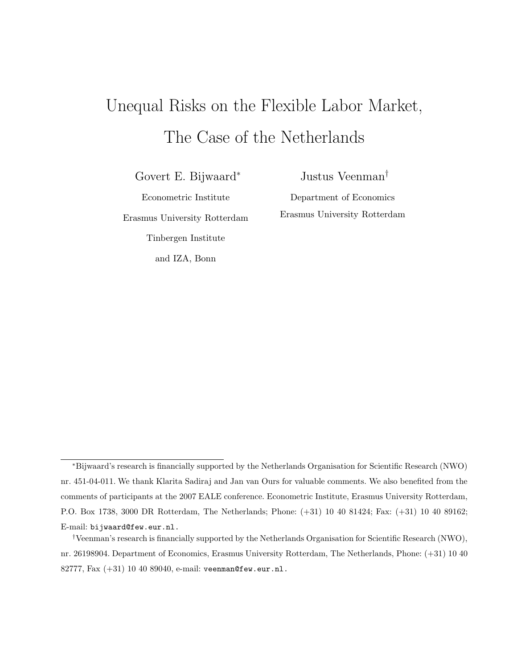# Unequal Risks on the Flexible Labor Market, The Case of the Netherlands

Govert E. Bijwaard<sup>∗</sup>

Justus Veenman†

Econometric Institute Erasmus University Rotterdam Tinbergen Institute

and IZA, Bonn

Department of Economics Erasmus University Rotterdam

<sup>∗</sup>Bijwaard's research is financially supported by the Netherlands Organisation for Scientific Research (NWO) nr. 451-04-011. We thank Klarita Sadiraj and Jan van Ours for valuable comments. We also benefited from the comments of participants at the 2007 EALE conference. Econometric Institute, Erasmus University Rotterdam, P.O. Box 1738, 3000 DR Rotterdam, The Netherlands; Phone: (+31) 10 40 81424; Fax: (+31) 10 40 89162; E-mail: bijwaard@few.eur.nl.

<sup>†</sup>Veenman's research is financially supported by the Netherlands Organisation for Scientific Research (NWO), nr. 26198904. Department of Economics, Erasmus University Rotterdam, The Netherlands, Phone: (+31) 10 40 82777, Fax (+31) 10 40 89040, e-mail: veenman@few.eur.nl.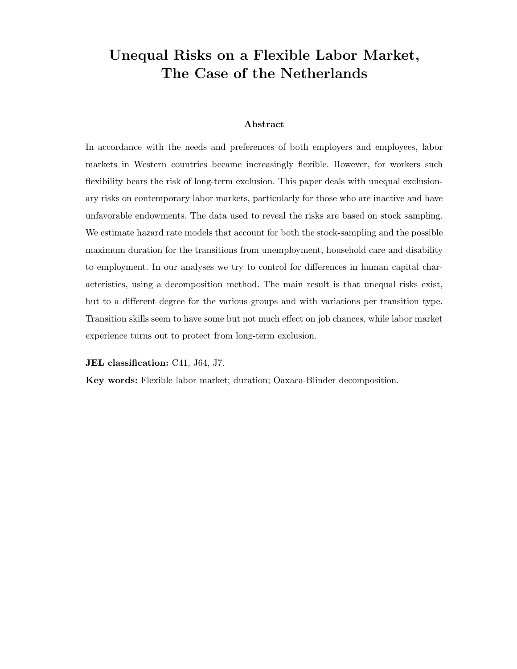## Unequal Risks on a Flexible Labor Market, The Case of the Netherlands

#### Abstract

In accordance with the needs and preferences of both employers and employees, labor markets in Western countries became increasingly flexible. However, for workers such flexibility bears the risk of long-term exclusion. This paper deals with unequal exclusionary risks on contemporary labor markets, particularly for those who are inactive and have unfavorable endowments. The data used to reveal the risks are based on stock sampling. We estimate hazard rate models that account for both the stock-sampling and the possible maximum duration for the transitions from unemployment, household care and disability to employment. In our analyses we try to control for differences in human capital characteristics, using a decomposition method. The main result is that unequal risks exist, but to a different degree for the various groups and with variations per transition type. Transition skills seem to have some but not much effect on job chances, while labor market experience turns out to protect from long-term exclusion.

JEL classification: C41, J64, J7.

Key words: Flexible labor market; duration; Oaxaca-Blinder decomposition.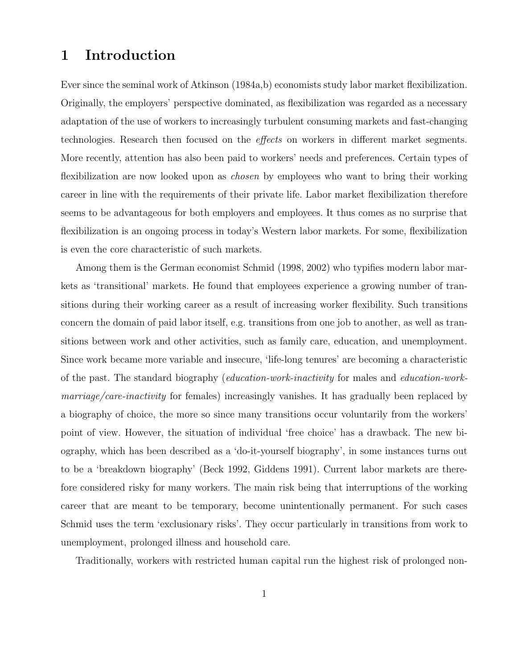### 1 Introduction

Ever since the seminal work of Atkinson (1984a,b) economists study labor market flexibilization. Originally, the employers' perspective dominated, as flexibilization was regarded as a necessary adaptation of the use of workers to increasingly turbulent consuming markets and fast-changing technologies. Research then focused on the effects on workers in different market segments. More recently, attention has also been paid to workers' needs and preferences. Certain types of flexibilization are now looked upon as *chosen* by employees who want to bring their working career in line with the requirements of their private life. Labor market flexibilization therefore seems to be advantageous for both employers and employees. It thus comes as no surprise that flexibilization is an ongoing process in today's Western labor markets. For some, flexibilization is even the core characteristic of such markets.

Among them is the German economist Schmid (1998, 2002) who typifies modern labor markets as 'transitional' markets. He found that employees experience a growing number of transitions during their working career as a result of increasing worker flexibility. Such transitions concern the domain of paid labor itself, e.g. transitions from one job to another, as well as transitions between work and other activities, such as family care, education, and unemployment. Since work became more variable and insecure, 'life-long tenures' are becoming a characteristic of the past. The standard biography (education-work-inactivity for males and education-workmarriage/care-inactivity for females) increasingly vanishes. It has gradually been replaced by a biography of choice, the more so since many transitions occur voluntarily from the workers' point of view. However, the situation of individual 'free choice' has a drawback. The new biography, which has been described as a 'do-it-yourself biography', in some instances turns out to be a 'breakdown biography' (Beck 1992, Giddens 1991). Current labor markets are therefore considered risky for many workers. The main risk being that interruptions of the working career that are meant to be temporary, become unintentionally permanent. For such cases Schmid uses the term 'exclusionary risks'. They occur particularly in transitions from work to unemployment, prolonged illness and household care.

Traditionally, workers with restricted human capital run the highest risk of prolonged non-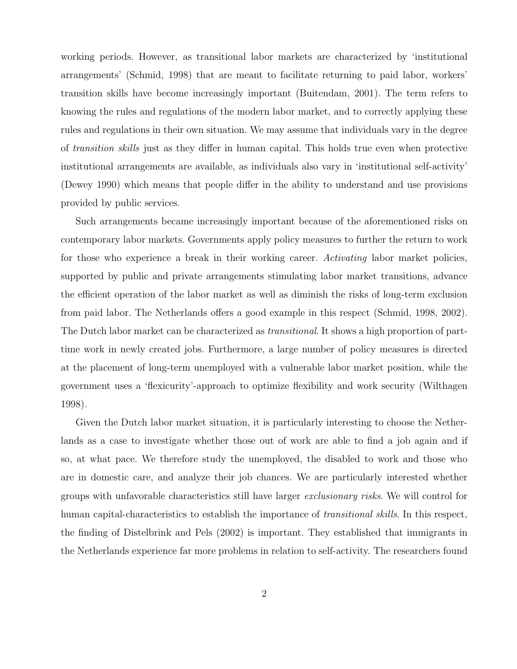working periods. However, as transitional labor markets are characterized by 'institutional arrangements' (Schmid, 1998) that are meant to facilitate returning to paid labor, workers' transition skills have become increasingly important (Buitendam, 2001). The term refers to knowing the rules and regulations of the modern labor market, and to correctly applying these rules and regulations in their own situation. We may assume that individuals vary in the degree of transition skills just as they differ in human capital. This holds true even when protective institutional arrangements are available, as individuals also vary in 'institutional self-activity' (Dewey 1990) which means that people differ in the ability to understand and use provisions provided by public services.

Such arrangements became increasingly important because of the aforementioned risks on contemporary labor markets. Governments apply policy measures to further the return to work for those who experience a break in their working career. Activating labor market policies, supported by public and private arrangements stimulating labor market transitions, advance the efficient operation of the labor market as well as diminish the risks of long-term exclusion from paid labor. The Netherlands offers a good example in this respect (Schmid, 1998, 2002). The Dutch labor market can be characterized as *transitional*. It shows a high proportion of parttime work in newly created jobs. Furthermore, a large number of policy measures is directed at the placement of long-term unemployed with a vulnerable labor market position, while the government uses a 'flexicurity'-approach to optimize flexibility and work security (Wilthagen 1998).

Given the Dutch labor market situation, it is particularly interesting to choose the Netherlands as a case to investigate whether those out of work are able to find a job again and if so, at what pace. We therefore study the unemployed, the disabled to work and those who are in domestic care, and analyze their job chances. We are particularly interested whether groups with unfavorable characteristics still have larger exclusionary risks. We will control for human capital-characteristics to establish the importance of *transitional skills*. In this respect, the finding of Distelbrink and Pels (2002) is important. They established that immigrants in the Netherlands experience far more problems in relation to self-activity. The researchers found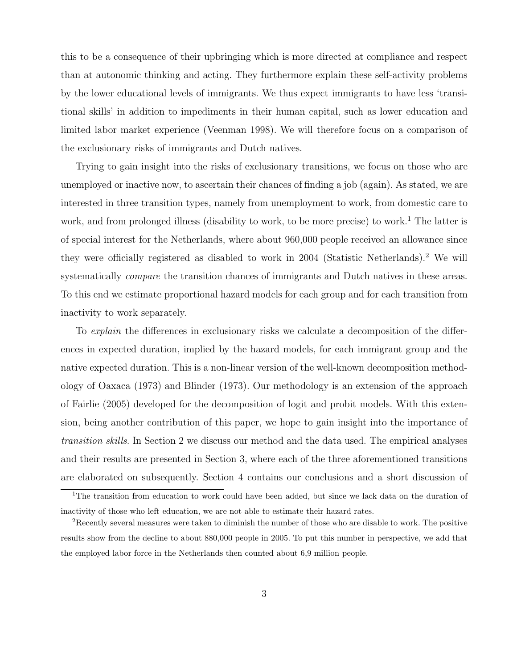this to be a consequence of their upbringing which is more directed at compliance and respect than at autonomic thinking and acting. They furthermore explain these self-activity problems by the lower educational levels of immigrants. We thus expect immigrants to have less 'transitional skills' in addition to impediments in their human capital, such as lower education and limited labor market experience (Veenman 1998). We will therefore focus on a comparison of the exclusionary risks of immigrants and Dutch natives.

Trying to gain insight into the risks of exclusionary transitions, we focus on those who are unemployed or inactive now, to ascertain their chances of finding a job (again). As stated, we are interested in three transition types, namely from unemployment to work, from domestic care to work, and from prolonged illness (disability to work, to be more precise) to work.<sup>1</sup> The latter is of special interest for the Netherlands, where about 960,000 people received an allowance since they were officially registered as disabled to work in 2004 (Statistic Netherlands).<sup>2</sup> We will systematically *compare* the transition chances of immigrants and Dutch natives in these areas. To this end we estimate proportional hazard models for each group and for each transition from inactivity to work separately.

To *explain* the differences in exclusionary risks we calculate a decomposition of the differences in expected duration, implied by the hazard models, for each immigrant group and the native expected duration. This is a non-linear version of the well-known decomposition methodology of Oaxaca (1973) and Blinder (1973). Our methodology is an extension of the approach of Fairlie (2005) developed for the decomposition of logit and probit models. With this extension, being another contribution of this paper, we hope to gain insight into the importance of transition skills. In Section 2 we discuss our method and the data used. The empirical analyses and their results are presented in Section 3, where each of the three aforementioned transitions are elaborated on subsequently. Section 4 contains our conclusions and a short discussion of

<sup>&</sup>lt;sup>1</sup>The transition from education to work could have been added, but since we lack data on the duration of inactivity of those who left education, we are not able to estimate their hazard rates.

<sup>2</sup>Recently several measures were taken to diminish the number of those who are disable to work. The positive results show from the decline to about 880,000 people in 2005. To put this number in perspective, we add that the employed labor force in the Netherlands then counted about 6,9 million people.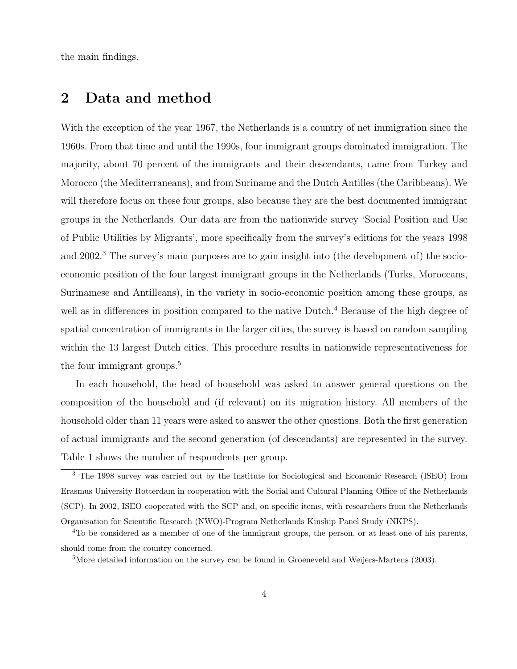the main findings.

### 2 Data and method

With the exception of the year 1967, the Netherlands is a country of net immigration since the 1960s. From that time and until the 1990s, four immigrant groups dominated immigration. The majority, about 70 percent of the immigrants and their descendants, came from Turkey and Morocco (the Mediterraneans), and from Suriname and the Dutch Antilles (the Caribbeans). We will therefore focus on these four groups, also because they are the best documented immigrant groups in the Netherlands. Our data are from the nationwide survey 'Social Position and Use of Public Utilities by Migrants', more specifically from the survey's editions for the years 1998 and 2002.<sup>3</sup> The survey's main purposes are to gain insight into (the development of) the socioeconomic position of the four largest immigrant groups in the Netherlands (Turks, Moroccans, Surinamese and Antilleans), in the variety in socio-economic position among these groups, as well as in differences in position compared to the native Dutch.<sup>4</sup> Because of the high degree of spatial concentration of immigrants in the larger cities, the survey is based on random sampling within the 13 largest Dutch cities. This procedure results in nationwide representativeness for the four immigrant groups.<sup>5</sup>

In each household, the head of household was asked to answer general questions on the composition of the household and (if relevant) on its migration history. All members of the household older than 11 years were asked to answer the other questions. Both the first generation of actual immigrants and the second generation (of descendants) are represented in the survey. Table 1 shows the number of respondents per group.

<sup>3</sup> The 1998 survey was carried out by the Institute for Sociological and Economic Research (ISEO) from Erasmus University Rotterdam in cooperation with the Social and Cultural Planning Office of the Netherlands (SCP). In 2002, ISEO cooperated with the SCP and, on specific items, with researchers from the Netherlands Organisation for Scientific Research (NWO)-Program Netherlands Kinship Panel Study (NKPS).

<sup>4</sup>To be considered as a member of one of the immigrant groups, the person, or at least one of his parents, should come from the country concerned.

<sup>&</sup>lt;sup>5</sup>More detailed information on the survey can be found in Groeneveld and Weijers-Martens (2003).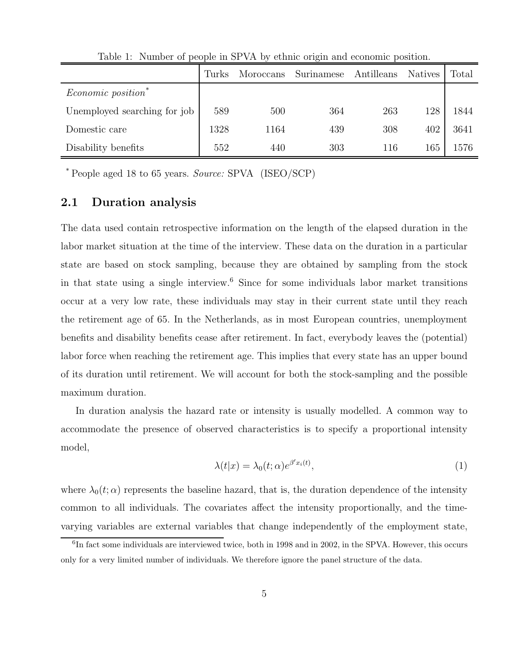|                              | Turks | Moroccans | Surinamese | Antilleans | <b>Natives</b> | Total |
|------------------------------|-------|-----------|------------|------------|----------------|-------|
| Economic position*           |       |           |            |            |                |       |
| Unemployed searching for job | 589   | 500       | 364        | 263        | 128            | 1844  |
| Domestic care                | 1328  | 1164      | 439        | 308        | 402            | 3641  |
| Disability benefits          | 552   | 440       | 303        | 116        | 165            | 1576  |

Table 1: Number of people in SPVA by ethnic origin and economic position.

\* People aged 18 to 65 years. Source: SPVA (ISEO/SCP)

#### 2.1 Duration analysis

The data used contain retrospective information on the length of the elapsed duration in the labor market situation at the time of the interview. These data on the duration in a particular state are based on stock sampling, because they are obtained by sampling from the stock in that state using a single interview.<sup>6</sup> Since for some individuals labor market transitions occur at a very low rate, these individuals may stay in their current state until they reach the retirement age of 65. In the Netherlands, as in most European countries, unemployment benefits and disability benefits cease after retirement. In fact, everybody leaves the (potential) labor force when reaching the retirement age. This implies that every state has an upper bound of its duration until retirement. We will account for both the stock-sampling and the possible maximum duration.

In duration analysis the hazard rate or intensity is usually modelled. A common way to accommodate the presence of observed characteristics is to specify a proportional intensity model,

$$
\lambda(t|x) = \lambda_0(t;\alpha)e^{\beta' x_i(t)},\tag{1}
$$

where  $\lambda_0(t;\alpha)$  represents the baseline hazard, that is, the duration dependence of the intensity common to all individuals. The covariates affect the intensity proportionally, and the timevarying variables are external variables that change independently of the employment state,

<sup>&</sup>lt;sup>6</sup>In fact some individuals are interviewed twice, both in 1998 and in 2002, in the SPVA. However, this occurs only for a very limited number of individuals. We therefore ignore the panel structure of the data.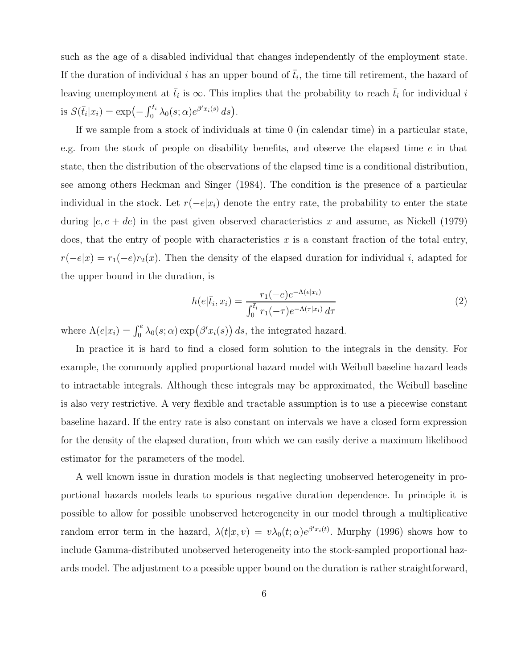such as the age of a disabled individual that changes independently of the employment state. If the duration of individual i has an upper bound of  $\bar{t}_i$ , the time till retirement, the hazard of leaving unemployment at  $\bar{t}_i$  is  $\infty$ . This implies that the probability to reach  $\bar{t}_i$  for individual i is  $S(\bar{t}_i|x_i) = \exp\left(-\int_0^{\bar{t}_i} \lambda_0(s;\alpha) e^{\beta' x_i(s)} ds\right).$ 

If we sample from a stock of individuals at time 0 (in calendar time) in a particular state, e.g. from the stock of people on disability benefits, and observe the elapsed time e in that state, then the distribution of the observations of the elapsed time is a conditional distribution, see among others Heckman and Singer (1984). The condition is the presence of a particular individual in the stock. Let  $r(-e|x_i)$  denote the entry rate, the probability to enter the state during  $[e, e + de]$  in the past given observed characteristics x and assume, as Nickell (1979) does, that the entry of people with characteristics x is a constant fraction of the total entry,  $r(-e|x) = r_1(-e)r_2(x)$ . Then the density of the elapsed duration for individual i, adapted for the upper bound in the duration, is

$$
h(e|\bar{t}_i, x_i) = \frac{r_1(-e)e^{-\Lambda(e|x_i)}}{\int_0^{\bar{t}_i} r_1(-\tau)e^{-\Lambda(\tau|x_i)} d\tau}
$$
(2)

where  $\Lambda(e|x_i) = \int_0^e \lambda_0(s;\alpha) \exp(\beta' x_i(s)) ds$ , the integrated hazard.

In practice it is hard to find a closed form solution to the integrals in the density. For example, the commonly applied proportional hazard model with Weibull baseline hazard leads to intractable integrals. Although these integrals may be approximated, the Weibull baseline is also very restrictive. A very flexible and tractable assumption is to use a piecewise constant baseline hazard. If the entry rate is also constant on intervals we have a closed form expression for the density of the elapsed duration, from which we can easily derive a maximum likelihood estimator for the parameters of the model.

A well known issue in duration models is that neglecting unobserved heterogeneity in proportional hazards models leads to spurious negative duration dependence. In principle it is possible to allow for possible unobserved heterogeneity in our model through a multiplicative random error term in the hazard,  $\lambda(t|x,v) = v\lambda_0(t;\alpha)e^{\beta' x_i(t)}$ . Murphy (1996) shows how to include Gamma-distributed unobserved heterogeneity into the stock-sampled proportional hazards model. The adjustment to a possible upper bound on the duration is rather straightforward,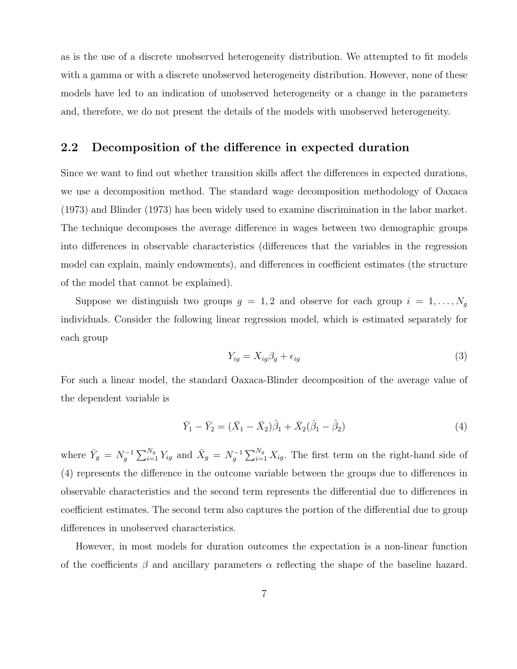as is the use of a discrete unobserved heterogeneity distribution. We attempted to fit models with a gamma or with a discrete unobserved heterogeneity distribution. However, none of these models have led to an indication of unobserved heterogeneity or a change in the parameters and, therefore, we do not present the details of the models with unobserved heterogeneity.

#### 2.2 Decomposition of the difference in expected duration

Since we want to find out whether transition skills affect the differences in expected durations, we use a decomposition method. The standard wage decomposition methodology of Oaxaca (1973) and Blinder (1973) has been widely used to examine discrimination in the labor market. The technique decomposes the average difference in wages between two demographic groups into differences in observable characteristics (differences that the variables in the regression model can explain, mainly endowments), and differences in coefficient estimates (the structure of the model that cannot be explained).

Suppose we distinguish two groups  $g = 1, 2$  and observe for each group  $i = 1, ..., N_g$ individuals. Consider the following linear regression model, which is estimated separately for each group

$$
Y_{ig} = X_{ig}\beta_g + \epsilon_{ig} \tag{3}
$$

For such a linear model, the standard Oaxaca-Blinder decomposition of the average value of the dependent variable is

$$
\bar{Y}_1 - \bar{Y}_2 = (\bar{X}_1 - \bar{X}_2)\hat{\beta}_1 + \bar{X}_2(\hat{\beta}_1 - \hat{\beta}_2)
$$
\n(4)

where  $\bar{Y}_g = N_g^{-1} \sum_{i=1}^{N_g} Y_{ig}$  and  $\bar{X}_g = N_g^{-1} \sum_{i=1}^{N_g} X_{ig}$ . The first term on the right-hand side of (4) represents the difference in the outcome variable between the groups due to differences in observable characteristics and the second term represents the differential due to differences in coefficient estimates. The second term also captures the portion of the differential due to group differences in unobserved characteristics.

However, in most models for duration outcomes the expectation is a non-linear function of the coefficients  $\beta$  and ancillary parameters  $\alpha$  reflecting the shape of the baseline hazard.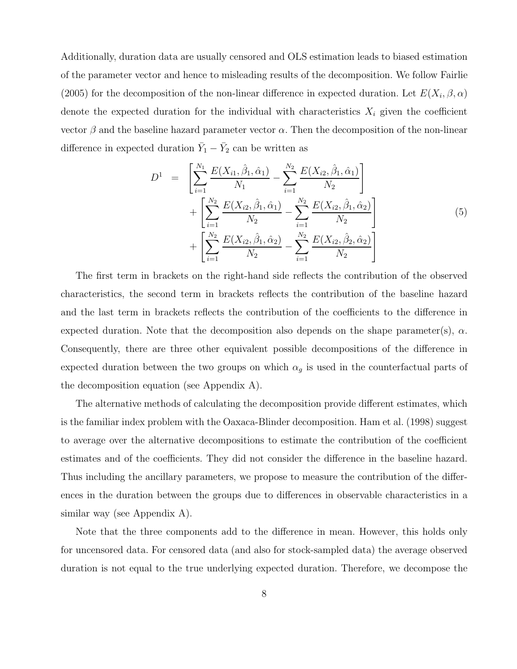Additionally, duration data are usually censored and OLS estimation leads to biased estimation of the parameter vector and hence to misleading results of the decomposition. We follow Fairlie (2005) for the decomposition of the non-linear difference in expected duration. Let  $E(X_i, \beta, \alpha)$ denote the expected duration for the individual with characteristics  $X_i$  given the coefficient vector  $\beta$  and the baseline hazard parameter vector  $\alpha$ . Then the decomposition of the non-linear difference in expected duration  $\bar{Y}_1 - \bar{Y}_2$  can be written as

$$
D^{1} = \left[ \sum_{i=1}^{N_{1}} \frac{E(X_{i1}, \hat{\beta}_{1}, \hat{\alpha}_{1})}{N_{1}} - \sum_{i=1}^{N_{2}} \frac{E(X_{i2}, \hat{\beta}_{1}, \hat{\alpha}_{1})}{N_{2}} \right] + \left[ \sum_{i=1}^{N_{2}} \frac{E(X_{i2}, \hat{\beta}_{1}, \hat{\alpha}_{1})}{N_{2}} - \sum_{i=1}^{N_{2}} \frac{E(X_{i2}, \hat{\beta}_{1}, \hat{\alpha}_{2})}{N_{2}} \right] + \left[ \sum_{i=1}^{N_{2}} \frac{E(X_{i2}, \hat{\beta}_{1}, \hat{\alpha}_{2})}{N_{2}} - \sum_{i=1}^{N_{2}} \frac{E(X_{i2}, \hat{\beta}_{2}, \hat{\alpha}_{2})}{N_{2}} \right]
$$
(5)

The first term in brackets on the right-hand side reflects the contribution of the observed characteristics, the second term in brackets reflects the contribution of the baseline hazard and the last term in brackets reflects the contribution of the coefficients to the difference in expected duration. Note that the decomposition also depends on the shape parameter(s),  $\alpha$ . Consequently, there are three other equivalent possible decompositions of the difference in expected duration between the two groups on which  $\alpha_g$  is used in the counterfactual parts of the decomposition equation (see Appendix A).

The alternative methods of calculating the decomposition provide different estimates, which is the familiar index problem with the Oaxaca-Blinder decomposition. Ham et al. (1998) suggest to average over the alternative decompositions to estimate the contribution of the coefficient estimates and of the coefficients. They did not consider the difference in the baseline hazard. Thus including the ancillary parameters, we propose to measure the contribution of the differences in the duration between the groups due to differences in observable characteristics in a similar way (see Appendix A).

Note that the three components add to the difference in mean. However, this holds only for uncensored data. For censored data (and also for stock-sampled data) the average observed duration is not equal to the true underlying expected duration. Therefore, we decompose the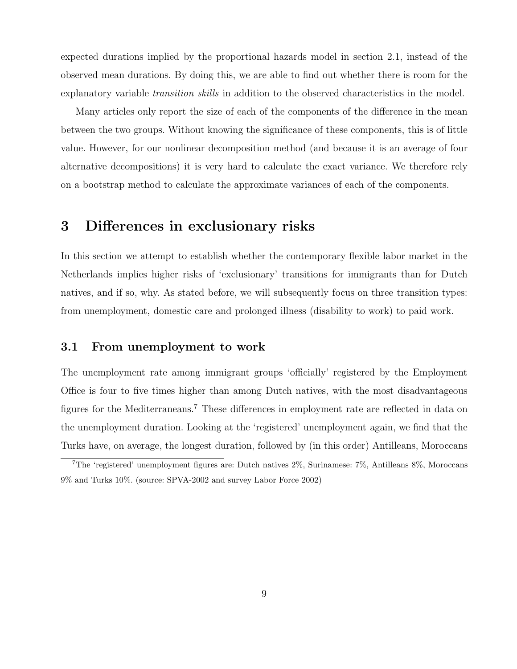expected durations implied by the proportional hazards model in section 2.1, instead of the observed mean durations. By doing this, we are able to find out whether there is room for the explanatory variable *transition skills* in addition to the observed characteristics in the model.

Many articles only report the size of each of the components of the difference in the mean between the two groups. Without knowing the significance of these components, this is of little value. However, for our nonlinear decomposition method (and because it is an average of four alternative decompositions) it is very hard to calculate the exact variance. We therefore rely on a bootstrap method to calculate the approximate variances of each of the components.

### 3 Differences in exclusionary risks

In this section we attempt to establish whether the contemporary flexible labor market in the Netherlands implies higher risks of 'exclusionary' transitions for immigrants than for Dutch natives, and if so, why. As stated before, we will subsequently focus on three transition types: from unemployment, domestic care and prolonged illness (disability to work) to paid work.

#### 3.1 From unemployment to work

The unemployment rate among immigrant groups 'officially' registered by the Employment Office is four to five times higher than among Dutch natives, with the most disadvantageous figures for the Mediterraneans.<sup>7</sup> These differences in employment rate are reflected in data on the unemployment duration. Looking at the 'registered' unemployment again, we find that the Turks have, on average, the longest duration, followed by (in this order) Antilleans, Moroccans

<sup>7</sup>The 'registered' unemployment figures are: Dutch natives 2%, Surinamese: 7%, Antilleans 8%, Moroccans 9% and Turks 10%. (source: SPVA-2002 and survey Labor Force 2002)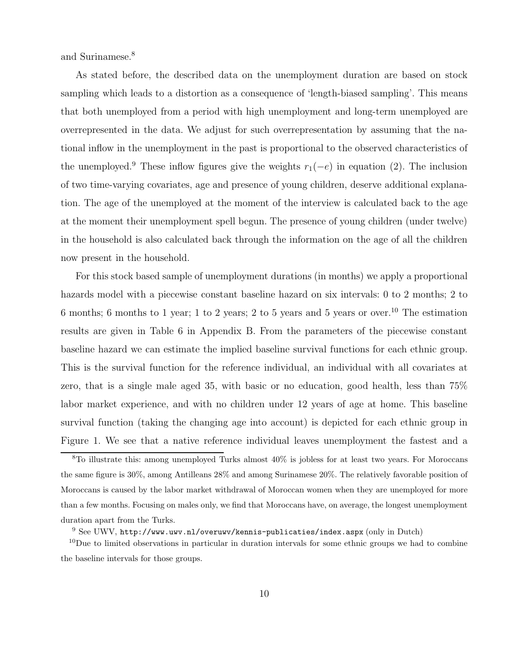and Surinamese.<sup>8</sup>

As stated before, the described data on the unemployment duration are based on stock sampling which leads to a distortion as a consequence of 'length-biased sampling'. This means that both unemployed from a period with high unemployment and long-term unemployed are overrepresented in the data. We adjust for such overrepresentation by assuming that the national inflow in the unemployment in the past is proportional to the observed characteristics of the unemployed.<sup>9</sup> These inflow figures give the weights  $r_1(-e)$  in equation (2). The inclusion of two time-varying covariates, age and presence of young children, deserve additional explanation. The age of the unemployed at the moment of the interview is calculated back to the age at the moment their unemployment spell begun. The presence of young children (under twelve) in the household is also calculated back through the information on the age of all the children now present in the household.

For this stock based sample of unemployment durations (in months) we apply a proportional hazards model with a piecewise constant baseline hazard on six intervals: 0 to 2 months; 2 to 6 months; 6 months to 1 year; 1 to 2 years; 2 to 5 years and 5 years or over.<sup>10</sup> The estimation results are given in Table 6 in Appendix B. From the parameters of the piecewise constant baseline hazard we can estimate the implied baseline survival functions for each ethnic group. This is the survival function for the reference individual, an individual with all covariates at zero, that is a single male aged 35, with basic or no education, good health, less than 75% labor market experience, and with no children under 12 years of age at home. This baseline survival function (taking the changing age into account) is depicted for each ethnic group in Figure 1. We see that a native reference individual leaves unemployment the fastest and a

<sup>&</sup>lt;sup>8</sup>To illustrate this: among unemployed Turks almost 40% is jobless for at least two years. For Moroccans the same figure is 30%, among Antilleans 28% and among Surinamese 20%. The relatively favorable position of Moroccans is caused by the labor market withdrawal of Moroccan women when they are unemployed for more than a few months. Focusing on males only, we find that Moroccans have, on average, the longest unemployment duration apart from the Turks.

 $9$  See UWV, http://www.uwv.nl/overuwv/kennis-publicaties/index.aspx (only in Dutch)

 $10$ Due to limited observations in particular in duration intervals for some ethnic groups we had to combine the baseline intervals for those groups.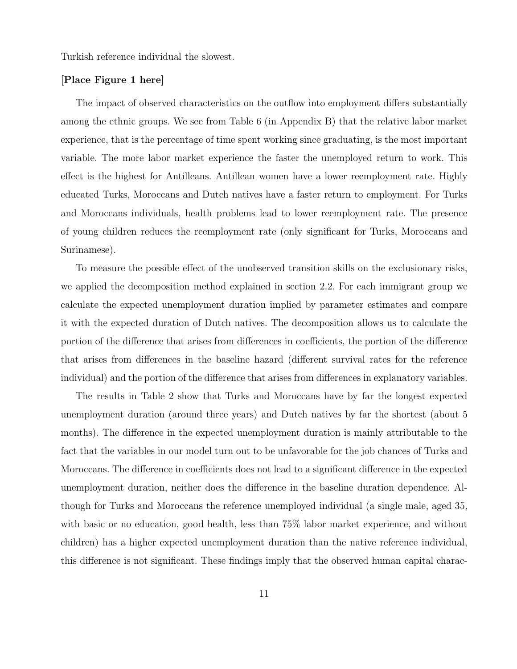Turkish reference individual the slowest.

#### [Place Figure 1 here]

The impact of observed characteristics on the outflow into employment differs substantially among the ethnic groups. We see from Table 6 (in Appendix B) that the relative labor market experience, that is the percentage of time spent working since graduating, is the most important variable. The more labor market experience the faster the unemployed return to work. This effect is the highest for Antilleans. Antillean women have a lower reemployment rate. Highly educated Turks, Moroccans and Dutch natives have a faster return to employment. For Turks and Moroccans individuals, health problems lead to lower reemployment rate. The presence of young children reduces the reemployment rate (only significant for Turks, Moroccans and Surinamese).

To measure the possible effect of the unobserved transition skills on the exclusionary risks, we applied the decomposition method explained in section 2.2. For each immigrant group we calculate the expected unemployment duration implied by parameter estimates and compare it with the expected duration of Dutch natives. The decomposition allows us to calculate the portion of the difference that arises from differences in coefficients, the portion of the difference that arises from differences in the baseline hazard (different survival rates for the reference individual) and the portion of the difference that arises from differences in explanatory variables.

The results in Table 2 show that Turks and Moroccans have by far the longest expected unemployment duration (around three years) and Dutch natives by far the shortest (about 5 months). The difference in the expected unemployment duration is mainly attributable to the fact that the variables in our model turn out to be unfavorable for the job chances of Turks and Moroccans. The difference in coefficients does not lead to a significant difference in the expected unemployment duration, neither does the difference in the baseline duration dependence. Although for Turks and Moroccans the reference unemployed individual (a single male, aged 35, with basic or no education, good health, less than 75% labor market experience, and without children) has a higher expected unemployment duration than the native reference individual, this difference is not significant. These findings imply that the observed human capital charac-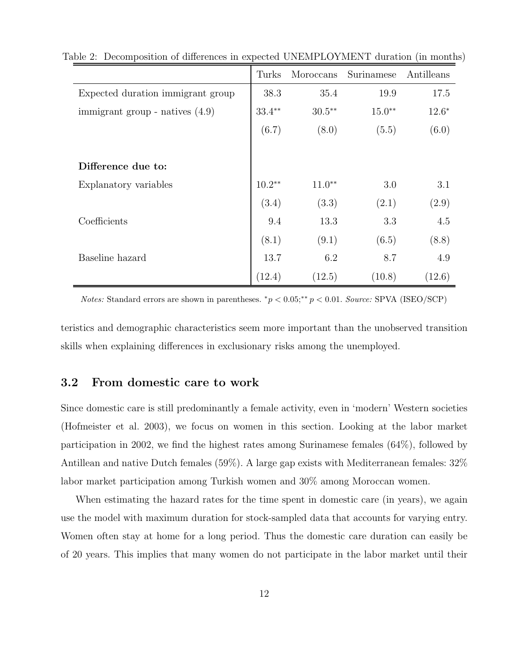|                                   | Turks     | Moroccans | Surinamese | Antilleans |
|-----------------------------------|-----------|-----------|------------|------------|
| Expected duration immigrant group | 38.3      | 35.4      | 19.9       | 17.5       |
| immigrant group - natives $(4.9)$ | $33.4***$ | $30.5***$ | $15.0**$   | $12.6*$    |
|                                   | (6.7)     | (8.0)     | (5.5)      | (6.0)      |
|                                   |           |           |            |            |
| Difference due to:                |           |           |            |            |
| Explanatory variables             | $10.2**$  | $11.0**$  | 3.0        | 3.1        |
|                                   | (3.4)     | (3.3)     | (2.1)      | (2.9)      |
| Coefficients                      | 9.4       | 13.3      | 3.3        | 4.5        |
|                                   | (8.1)     | (9.1)     | (6.5)      | (8.8)      |
| Baseline hazard                   | 13.7      | 6.2       | 8.7        | 4.9        |
|                                   | (12.4)    | (12.5)    | (10.8)     | (12.6)     |

Table 2: Decomposition of differences in expected UNEMPLOYMENT duration (in months)

*Notes:* Standard errors are shown in parentheses.  ${}^*p < 0.05; {}^{**}p < 0.01$ . Source: SPVA (ISEO/SCP)

teristics and demographic characteristics seem more important than the unobserved transition skills when explaining differences in exclusionary risks among the unemployed.

#### 3.2 From domestic care to work

Since domestic care is still predominantly a female activity, even in 'modern' Western societies (Hofmeister et al. 2003), we focus on women in this section. Looking at the labor market participation in 2002, we find the highest rates among Surinamese females (64%), followed by Antillean and native Dutch females (59%). A large gap exists with Mediterranean females: 32% labor market participation among Turkish women and 30% among Moroccan women.

When estimating the hazard rates for the time spent in domestic care (in years), we again use the model with maximum duration for stock-sampled data that accounts for varying entry. Women often stay at home for a long period. Thus the domestic care duration can easily be of 20 years. This implies that many women do not participate in the labor market until their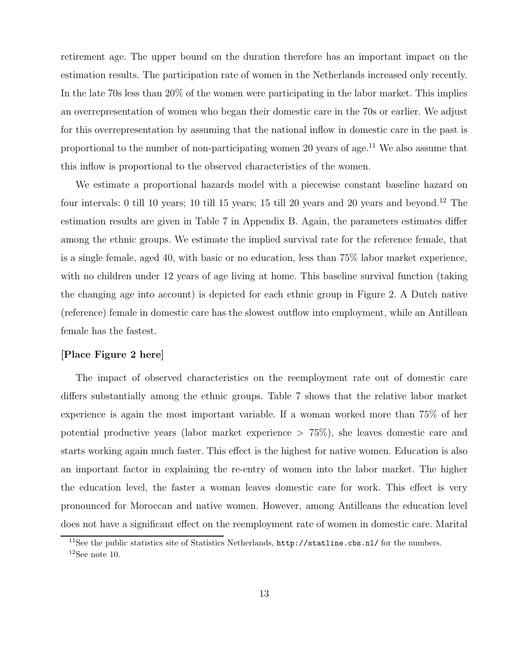retirement age. The upper bound on the duration therefore has an important impact on the estimation results. The participation rate of women in the Netherlands increased only recently. In the late 70s less than 20% of the women were participating in the labor market. This implies an overrepresentation of women who began their domestic care in the 70s or earlier. We adjust for this overrepresentation by assuming that the national inflow in domestic care in the past is proportional to the number of non-participating women 20 years of age.<sup>11</sup> We also assume that this inflow is proportional to the observed characteristics of the women.

We estimate a proportional hazards model with a piecewise constant baseline hazard on four intervals: 0 till 10 years; 10 till 15 years; 15 till 20 years and 20 years and beyond.<sup>12</sup> The estimation results are given in Table 7 in Appendix B. Again, the parameters estimates differ among the ethnic groups. We estimate the implied survival rate for the reference female, that is a single female, aged 40, with basic or no education, less than 75% labor market experience, with no children under 12 years of age living at home. This baseline survival function (taking the changing age into account) is depicted for each ethnic group in Figure 2. A Dutch native (reference) female in domestic care has the slowest outflow into employment, while an Antillean female has the fastest.

#### [Place Figure 2 here]

The impact of observed characteristics on the reemployment rate out of domestic care differs substantially among the ethnic groups. Table 7 shows that the relative labor market experience is again the most important variable. If a woman worked more than 75% of her potential productive years (labor market experience > 75%), she leaves domestic care and starts working again much faster. This effect is the highest for native women. Education is also an important factor in explaining the re-entry of women into the labor market. The higher the education level, the faster a woman leaves domestic care for work. This effect is very pronounced for Moroccan and native women. However, among Antilleans the education level does not have a significant effect on the reemployment rate of women in domestic care. Marital

<sup>&</sup>lt;sup>11</sup>See the public statistics site of Statistics Netherlands,  $http://statline.cbs.nl/$  for the numbers.  $12$ See note 10.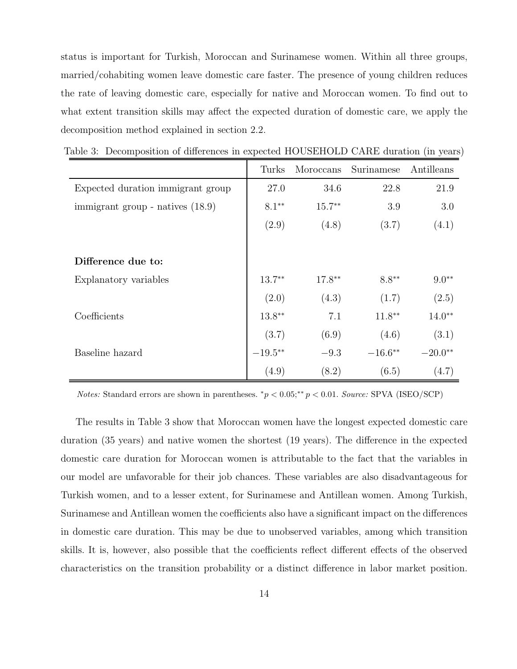status is important for Turkish, Moroccan and Surinamese women. Within all three groups, married/cohabiting women leave domestic care faster. The presence of young children reduces the rate of leaving domestic care, especially for native and Moroccan women. To find out to what extent transition skills may affect the expected duration of domestic care, we apply the decomposition method explained in section 2.2.

|                                    | Turks     | Moroccans | Surinamese | Antilleans |
|------------------------------------|-----------|-----------|------------|------------|
| Expected duration immigrant group  | 27.0      | 34.6      | 22.8       | 21.9       |
| immigrant group - natives $(18.9)$ | $8.1**$   | $15.7**$  | 3.9        | 3.0        |
|                                    | (2.9)     | (4.8)     | (3.7)      | (4.1)      |
|                                    |           |           |            |            |
| Difference due to:                 |           |           |            |            |
| Explanatory variables              | $13.7**$  | $17.8**$  | $8.8**$    | $9.0**$    |
|                                    | (2.0)     | (4.3)     | (1.7)      | (2.5)      |
| Coefficients                       | $13.8***$ | 7.1       | $11.8***$  | $14.0**$   |
|                                    | (3.7)     | (6.9)     | (4.6)      | (3.1)      |
| Baseline hazard                    | $-19.5**$ | $-9.3$    | $-16.6**$  | $-20.0**$  |
|                                    | (4.9)     | (8.2)     | (6.5)      | (4.7)      |

Table 3: Decomposition of differences in expected HOUSEHOLD CARE duration (in years)

Notes: Standard errors are shown in parentheses.  ${}^*p < 0.05; {}^{**}p < 0.01$ . Source: SPVA (ISEO/SCP)

The results in Table 3 show that Moroccan women have the longest expected domestic care duration (35 years) and native women the shortest (19 years). The difference in the expected domestic care duration for Moroccan women is attributable to the fact that the variables in our model are unfavorable for their job chances. These variables are also disadvantageous for Turkish women, and to a lesser extent, for Surinamese and Antillean women. Among Turkish, Surinamese and Antillean women the coefficients also have a significant impact on the differences in domestic care duration. This may be due to unobserved variables, among which transition skills. It is, however, also possible that the coefficients reflect different effects of the observed characteristics on the transition probability or a distinct difference in labor market position.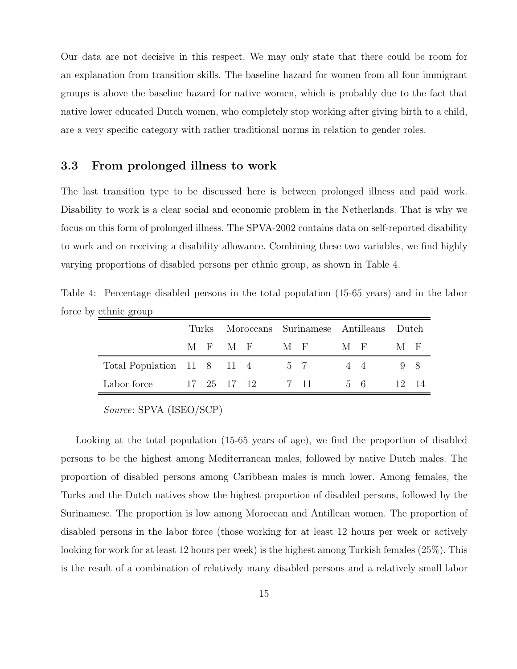Our data are not decisive in this respect. We may only state that there could be room for an explanation from transition skills. The baseline hazard for women from all four immigrant groups is above the baseline hazard for native women, which is probably due to the fact that native lower educated Dutch women, who completely stop working after giving birth to a child, are a very specific category with rather traditional norms in relation to gender roles.

#### 3.3 From prolonged illness to work

The last transition type to be discussed here is between prolonged illness and paid work. Disability to work is a clear social and economic problem in the Netherlands. That is why we focus on this form of prolonged illness. The SPVA-2002 contains data on self-reported disability to work and on receiving a disability allowance. Combining these two variables, we find highly varying proportions of disabled persons per ethnic group, as shown in Table 4.

Table 4: Percentage disabled persons in the total population (15-65 years) and in the labor force by ethnic group

|                                    |  |  |         | Turks Moroccans Surinamese Antilleans Dutch |                      |       |  |                  |       |
|------------------------------------|--|--|---------|---------------------------------------------|----------------------|-------|--|------------------|-------|
|                                    |  |  | MFMF MF |                                             |                      | $M_F$ |  | M F              |       |
| Total Population 11 8 11 4 5 7 4 4 |  |  |         |                                             |                      |       |  | $\overline{9}$ 8 |       |
| Labor force                        |  |  |         |                                             | 17 25 17 12 7 11 5 6 |       |  |                  | 12 14 |

Source: SPVA (ISEO/SCP)

Looking at the total population (15-65 years of age), we find the proportion of disabled persons to be the highest among Mediterranean males, followed by native Dutch males. The proportion of disabled persons among Caribbean males is much lower. Among females, the Turks and the Dutch natives show the highest proportion of disabled persons, followed by the Surinamese. The proportion is low among Moroccan and Antillean women. The proportion of disabled persons in the labor force (those working for at least 12 hours per week or actively looking for work for at least 12 hours per week) is the highest among Turkish females (25%). This is the result of a combination of relatively many disabled persons and a relatively small labor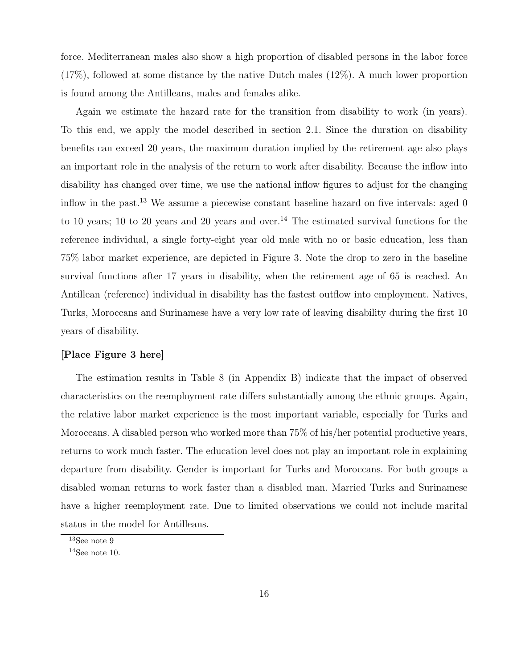force. Mediterranean males also show a high proportion of disabled persons in the labor force (17%), followed at some distance by the native Dutch males (12%). A much lower proportion is found among the Antilleans, males and females alike.

Again we estimate the hazard rate for the transition from disability to work (in years). To this end, we apply the model described in section 2.1. Since the duration on disability benefits can exceed 20 years, the maximum duration implied by the retirement age also plays an important role in the analysis of the return to work after disability. Because the inflow into disability has changed over time, we use the national inflow figures to adjust for the changing inflow in the past.<sup>13</sup> We assume a piecewise constant baseline hazard on five intervals: aged 0 to 10 years; 10 to 20 years and 20 years and over.<sup>14</sup> The estimated survival functions for the reference individual, a single forty-eight year old male with no or basic education, less than 75% labor market experience, are depicted in Figure 3. Note the drop to zero in the baseline survival functions after 17 years in disability, when the retirement age of 65 is reached. An Antillean (reference) individual in disability has the fastest outflow into employment. Natives, Turks, Moroccans and Surinamese have a very low rate of leaving disability during the first 10 years of disability.

#### [Place Figure 3 here]

The estimation results in Table 8 (in Appendix B) indicate that the impact of observed characteristics on the reemployment rate differs substantially among the ethnic groups. Again, the relative labor market experience is the most important variable, especially for Turks and Moroccans. A disabled person who worked more than 75% of his/her potential productive years, returns to work much faster. The education level does not play an important role in explaining departure from disability. Gender is important for Turks and Moroccans. For both groups a disabled woman returns to work faster than a disabled man. Married Turks and Surinamese have a higher reemployment rate. Due to limited observations we could not include marital status in the model for Antilleans.

 $\rm ^{13}See$  note  $9$ 

 $14$ See note 10.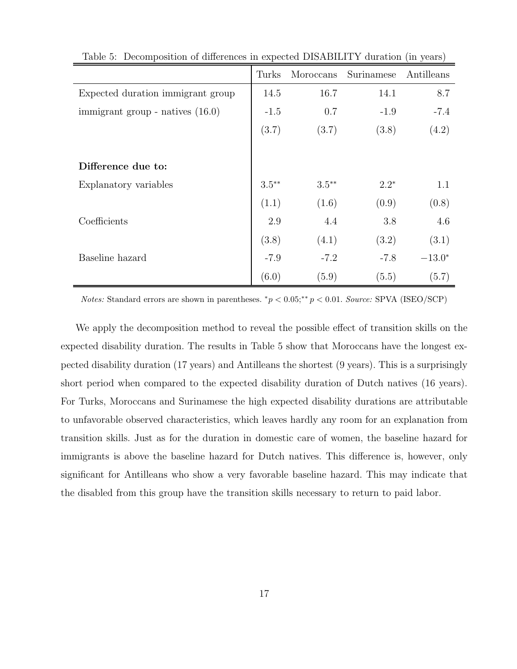|                                    | Turks    | Moroccans | Surinamese | Antilleans |
|------------------------------------|----------|-----------|------------|------------|
| Expected duration immigrant group  | 14.5     | 16.7      | 14.1       | 8.7        |
| immigrant group - natives $(16.0)$ | $-1.5$   | 0.7       | $-1.9$     | $-7.4$     |
|                                    | (3.7)    | (3.7)     | (3.8)      | (4.2)      |
|                                    |          |           |            |            |
| Difference due to:                 |          |           |            |            |
| Explanatory variables              | $3.5***$ | $3.5***$  | $2.2*$     | 1.1        |
|                                    | (1.1)    | (1.6)     | (0.9)      | (0.8)      |
| Coefficients                       | 2.9      | 4.4       | 3.8        | 4.6        |
|                                    | (3.8)    | (4.1)     | (3.2)      | (3.1)      |
| Baseline hazard                    | $-7.9$   | $-7.2$    | $-7.8$     | $-13.0*$   |
|                                    | (6.0)    | (5.9)     | (5.5)      | (5.7)      |

Table 5: Decomposition of differences in expected DISABILITY duration (in years)

Notes: Standard errors are shown in parentheses.  $^*p < 0.05; ^{**}p < 0.01$ . Source: SPVA (ISEO/SCP)

We apply the decomposition method to reveal the possible effect of transition skills on the expected disability duration. The results in Table 5 show that Moroccans have the longest expected disability duration (17 years) and Antilleans the shortest (9 years). This is a surprisingly short period when compared to the expected disability duration of Dutch natives (16 years). For Turks, Moroccans and Surinamese the high expected disability durations are attributable to unfavorable observed characteristics, which leaves hardly any room for an explanation from transition skills. Just as for the duration in domestic care of women, the baseline hazard for immigrants is above the baseline hazard for Dutch natives. This difference is, however, only significant for Antilleans who show a very favorable baseline hazard. This may indicate that the disabled from this group have the transition skills necessary to return to paid labor.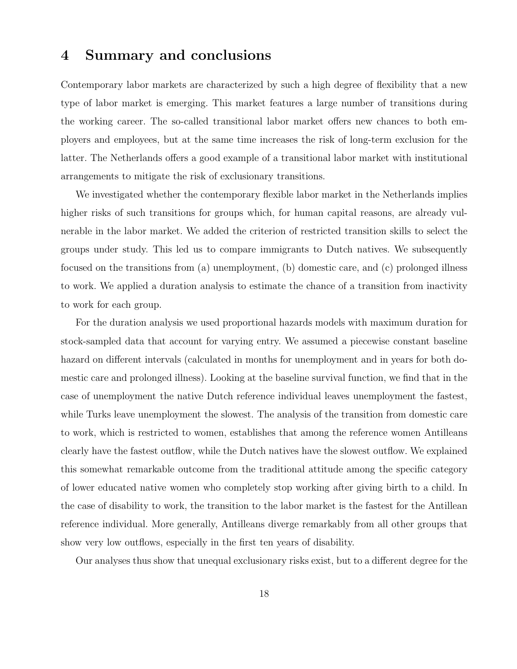### 4 Summary and conclusions

Contemporary labor markets are characterized by such a high degree of flexibility that a new type of labor market is emerging. This market features a large number of transitions during the working career. The so-called transitional labor market offers new chances to both employers and employees, but at the same time increases the risk of long-term exclusion for the latter. The Netherlands offers a good example of a transitional labor market with institutional arrangements to mitigate the risk of exclusionary transitions.

We investigated whether the contemporary flexible labor market in the Netherlands implies higher risks of such transitions for groups which, for human capital reasons, are already vulnerable in the labor market. We added the criterion of restricted transition skills to select the groups under study. This led us to compare immigrants to Dutch natives. We subsequently focused on the transitions from (a) unemployment, (b) domestic care, and (c) prolonged illness to work. We applied a duration analysis to estimate the chance of a transition from inactivity to work for each group.

For the duration analysis we used proportional hazards models with maximum duration for stock-sampled data that account for varying entry. We assumed a piecewise constant baseline hazard on different intervals (calculated in months for unemployment and in years for both domestic care and prolonged illness). Looking at the baseline survival function, we find that in the case of unemployment the native Dutch reference individual leaves unemployment the fastest, while Turks leave unemployment the slowest. The analysis of the transition from domestic care to work, which is restricted to women, establishes that among the reference women Antilleans clearly have the fastest outflow, while the Dutch natives have the slowest outflow. We explained this somewhat remarkable outcome from the traditional attitude among the specific category of lower educated native women who completely stop working after giving birth to a child. In the case of disability to work, the transition to the labor market is the fastest for the Antillean reference individual. More generally, Antilleans diverge remarkably from all other groups that show very low outflows, especially in the first ten years of disability.

Our analyses thus show that unequal exclusionary risks exist, but to a different degree for the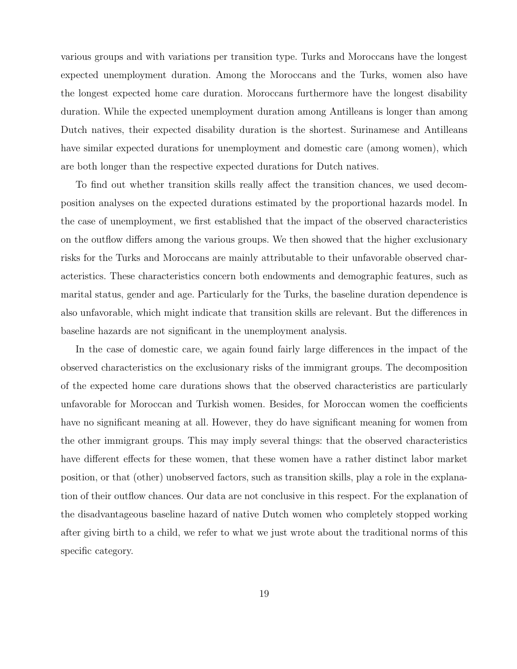various groups and with variations per transition type. Turks and Moroccans have the longest expected unemployment duration. Among the Moroccans and the Turks, women also have the longest expected home care duration. Moroccans furthermore have the longest disability duration. While the expected unemployment duration among Antilleans is longer than among Dutch natives, their expected disability duration is the shortest. Surinamese and Antilleans have similar expected durations for unemployment and domestic care (among women), which are both longer than the respective expected durations for Dutch natives.

To find out whether transition skills really affect the transition chances, we used decomposition analyses on the expected durations estimated by the proportional hazards model. In the case of unemployment, we first established that the impact of the observed characteristics on the outflow differs among the various groups. We then showed that the higher exclusionary risks for the Turks and Moroccans are mainly attributable to their unfavorable observed characteristics. These characteristics concern both endowments and demographic features, such as marital status, gender and age. Particularly for the Turks, the baseline duration dependence is also unfavorable, which might indicate that transition skills are relevant. But the differences in baseline hazards are not significant in the unemployment analysis.

In the case of domestic care, we again found fairly large differences in the impact of the observed characteristics on the exclusionary risks of the immigrant groups. The decomposition of the expected home care durations shows that the observed characteristics are particularly unfavorable for Moroccan and Turkish women. Besides, for Moroccan women the coefficients have no significant meaning at all. However, they do have significant meaning for women from the other immigrant groups. This may imply several things: that the observed characteristics have different effects for these women, that these women have a rather distinct labor market position, or that (other) unobserved factors, such as transition skills, play a role in the explanation of their outflow chances. Our data are not conclusive in this respect. For the explanation of the disadvantageous baseline hazard of native Dutch women who completely stopped working after giving birth to a child, we refer to what we just wrote about the traditional norms of this specific category.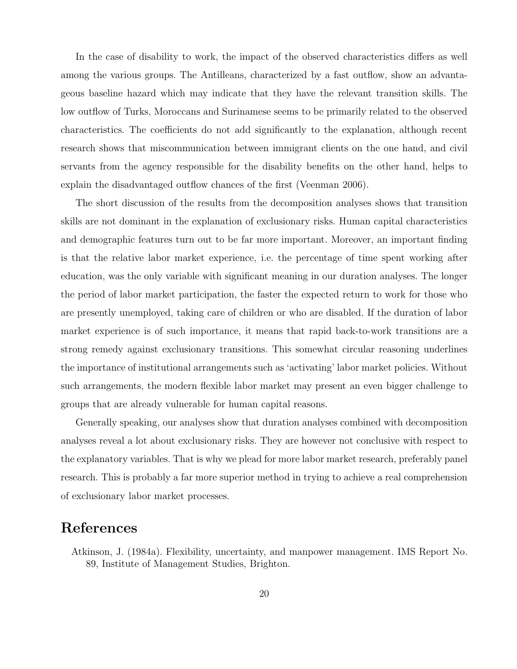In the case of disability to work, the impact of the observed characteristics differs as well among the various groups. The Antilleans, characterized by a fast outflow, show an advantageous baseline hazard which may indicate that they have the relevant transition skills. The low outflow of Turks, Moroccans and Surinamese seems to be primarily related to the observed characteristics. The coefficients do not add significantly to the explanation, although recent research shows that miscommunication between immigrant clients on the one hand, and civil servants from the agency responsible for the disability benefits on the other hand, helps to explain the disadvantaged outflow chances of the first (Veenman 2006).

The short discussion of the results from the decomposition analyses shows that transition skills are not dominant in the explanation of exclusionary risks. Human capital characteristics and demographic features turn out to be far more important. Moreover, an important finding is that the relative labor market experience, i.e. the percentage of time spent working after education, was the only variable with significant meaning in our duration analyses. The longer the period of labor market participation, the faster the expected return to work for those who are presently unemployed, taking care of children or who are disabled. If the duration of labor market experience is of such importance, it means that rapid back-to-work transitions are a strong remedy against exclusionary transitions. This somewhat circular reasoning underlines the importance of institutional arrangements such as 'activating' labor market policies. Without such arrangements, the modern flexible labor market may present an even bigger challenge to groups that are already vulnerable for human capital reasons.

Generally speaking, our analyses show that duration analyses combined with decomposition analyses reveal a lot about exclusionary risks. They are however not conclusive with respect to the explanatory variables. That is why we plead for more labor market research, preferably panel research. This is probably a far more superior method in trying to achieve a real comprehension of exclusionary labor market processes.

### References

Atkinson, J. (1984a). Flexibility, uncertainty, and manpower management. IMS Report No. 89, Institute of Management Studies, Brighton.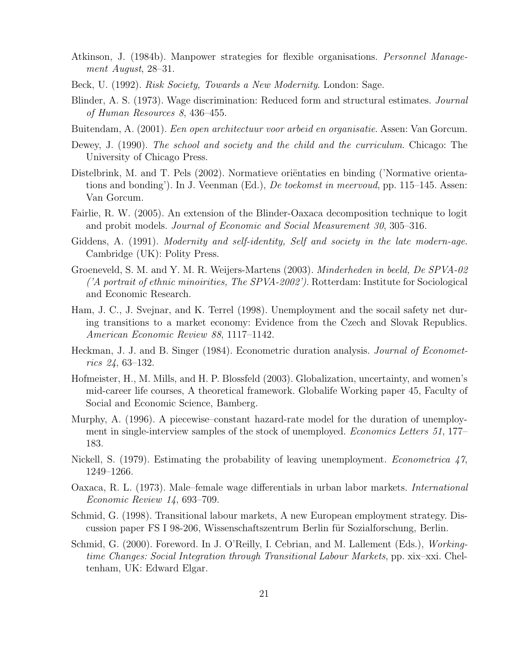- Atkinson, J. (1984b). Manpower strategies for flexible organisations. Personnel Management August, 28–31.
- Beck, U. (1992). Risk Society, Towards a New Modernity. London: Sage.
- Blinder, A. S. (1973). Wage discrimination: Reduced form and structural estimates. Journal of Human Resources 8, 436–455.
- Buitendam, A. (2001). Een open architectuur voor arbeid en organisatie. Assen: Van Gorcum.
- Dewey, J. (1990). The school and society and the child and the curriculum. Chicago: The University of Chicago Press.
- Distelbrink, M. and T. Pels (2002). Normatieve orientaties en binding ('Normative orientations and bonding'). In J. Veenman (Ed.), *De toekomst in meervoud*, pp. 115–145. Assen: Van Gorcum.
- Fairlie, R. W. (2005). An extension of the Blinder-Oaxaca decomposition technique to logit and probit models. Journal of Economic and Social Measurement 30, 305–316.
- Giddens, A. (1991). *Modernity and self-identity, Self and society in the late modern-age.* Cambridge (UK): Polity Press.
- Groeneveld, S. M. and Y. M. R. Weijers-Martens (2003). Minderheden in beeld, De SPVA-02 ('A portrait of ethnic minoirities, The SPVA-2002'). Rotterdam: Institute for Sociological and Economic Research.
- Ham, J. C., J. Svejnar, and K. Terrel (1998). Unemployment and the socail safety net during transitions to a market economy: Evidence from the Czech and Slovak Republics. American Economic Review 88, 1117–1142.
- Heckman, J. J. and B. Singer (1984). Econometric duration analysis. Journal of Econometrics 24, 63–132.
- Hofmeister, H., M. Mills, and H. P. Blossfeld (2003). Globalization, uncertainty, and women's mid-career life courses, A theoretical framework. Globalife Working paper 45, Faculty of Social and Economic Science, Bamberg.
- Murphy, A. (1996). A piecewise–constant hazard-rate model for the duration of unemployment in single-interview samples of the stock of unemployed. Economics Letters 51, 177– 183.
- Nickell, S. (1979). Estimating the probability of leaving unemployment. *Econometrica* 47, 1249–1266.
- Oaxaca, R. L. (1973). Male–female wage differentials in urban labor markets. International Economic Review 14, 693–709.
- Schmid, G. (1998). Transitional labour markets, A new European employment strategy. Discussion paper FS I 98-206, Wissenschaftszentrum Berlin für Sozialforschung, Berlin.
- Schmid, G. (2000). Foreword. In J. O'Reilly, I. Cebrian, and M. Lallement (Eds.), Workingtime Changes: Social Integration through Transitional Labour Markets, pp. xix–xxi. Cheltenham, UK: Edward Elgar.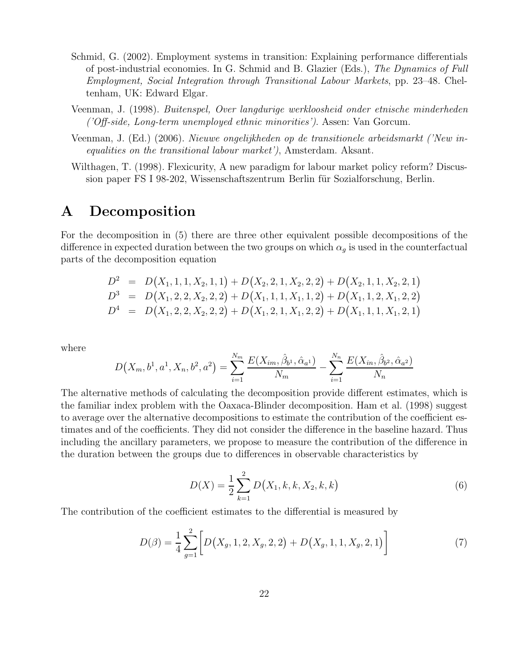- Schmid, G. (2002). Employment systems in transition: Explaining performance differentials of post-industrial economies. In G. Schmid and B. Glazier (Eds.), The Dynamics of Full Employment, Social Integration through Transitional Labour Markets, pp. 23–48. Cheltenham, UK: Edward Elgar.
- Veenman, J. (1998). Buitenspel, Over langdurige werkloosheid onder etnische minderheden ('Off-side, Long-term unemployed ethnic minorities'). Assen: Van Gorcum.
- Veenman, J. (Ed.) (2006). Nieuwe ongelijkheden op de transitionele arbeidsmarkt ('New inequalities on the transitional labour market'), Amsterdam. Aksant.
- Wilthagen, T. (1998). Flexicurity, A new paradigm for labour market policy reform? Discussion paper FS I 98-202, Wissenschaftszentrum Berlin für Sozialforschung, Berlin.

### A Decomposition

For the decomposition in (5) there are three other equivalent possible decompositions of the difference in expected duration between the two groups on which  $\alpha_g$  is used in the counterfactual parts of the decomposition equation

$$
D^2 = D(X_1, 1, 1, X_2, 1, 1) + D(X_2, 2, 1, X_2, 2, 2) + D(X_2, 1, 1, X_2, 2, 1)
$$
  
\n
$$
D^3 = D(X_1, 2, 2, X_2, 2, 2) + D(X_1, 1, 1, X_1, 1, 2) + D(X_1, 1, 2, X_1, 2, 2)
$$
  
\n
$$
D^4 = D(X_1, 2, 2, X_2, 2, 2) + D(X_1, 2, 1, X_1, 2, 2) + D(X_1, 1, 1, X_1, 2, 1)
$$

where

$$
D(X_m, b^1, a^1, X_n, b^2, a^2) = \sum_{i=1}^{N_m} \frac{E(X_{im}, \hat{\beta}_{b^1}, \hat{\alpha}_{a^1})}{N_m} - \sum_{i=1}^{N_n} \frac{E(X_{in}, \hat{\beta}_{b^2}, \hat{\alpha}_{a^2})}{N_n}
$$

The alternative methods of calculating the decomposition provide different estimates, which is the familiar index problem with the Oaxaca-Blinder decomposition. Ham et al. (1998) suggest to average over the alternative decompositions to estimate the contribution of the coefficient estimates and of the coefficients. They did not consider the difference in the baseline hazard. Thus including the ancillary parameters, we propose to measure the contribution of the difference in the duration between the groups due to differences in observable characteristics by

$$
D(X) = \frac{1}{2} \sum_{k=1}^{2} D(X_1, k, k, X_2, k, k)
$$
\n(6)

The contribution of the coefficient estimates to the differential is measured by

$$
D(\beta) = \frac{1}{4} \sum_{g=1}^{2} \left[ D(X_g, 1, 2, X_g, 2, 2) + D(X_g, 1, 1, X_g, 2, 1) \right]
$$
(7)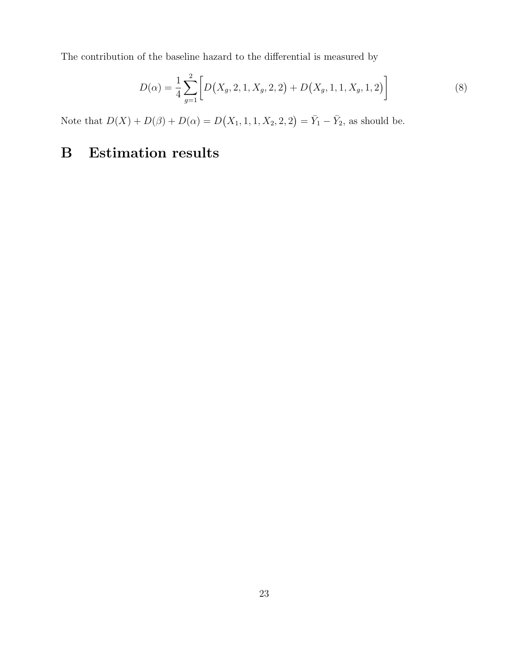The contribution of the baseline hazard to the differential is measured by

$$
D(\alpha) = \frac{1}{4} \sum_{g=1}^{2} \left[ D(X_g, 2, 1, X_g, 2, 2) + D(X_g, 1, 1, X_g, 1, 2) \right]
$$
(8)

Note that  $D(X) + D(\beta) + D(\alpha) = D(X_1, 1, 1, X_2, 2, 2) = \overline{Y}_1 - \overline{Y}_2$ , as should be.

# B Estimation results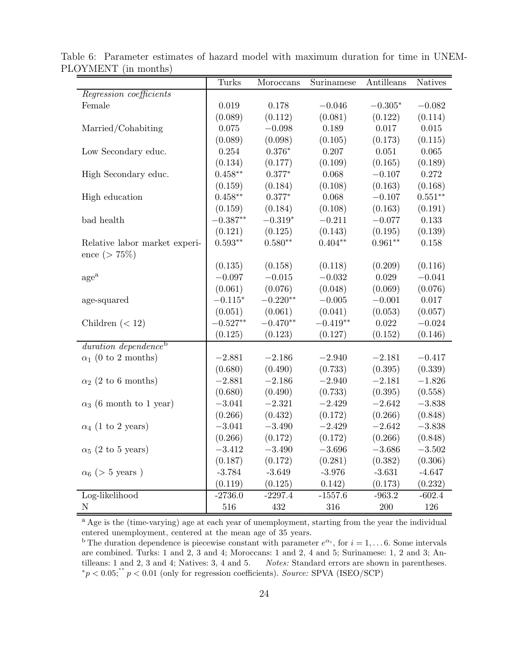|                                  | Turks      | Moroccans  | Surinamese | Antilleans | <b>Natives</b> |
|----------------------------------|------------|------------|------------|------------|----------------|
| Regression coefficients          |            |            |            |            |                |
| Female                           | 0.019      | 0.178      | $-0.046$   | $-0.305*$  | $-0.082$       |
|                                  | (0.089)    | (0.112)    | (0.081)    | (0.122)    | (0.114)        |
| Married/Cohabiting               | 0.075      | $-0.098$   | 0.189      | 0.017      | 0.015          |
|                                  | (0.089)    | (0.098)    | (0.105)    | (0.173)    | (0.115)        |
| Low Secondary educ.              | $0.254\,$  | $0.376*$   | 0.207      | 0.051      | $0.065\,$      |
|                                  | (0.134)    | (0.177)    | (0.109)    | (0.165)    | (0.189)        |
| High Secondary educ.             | $0.458**$  | $0.377*$   | 0.068      | $-0.107$   | 0.272          |
|                                  | (0.159)    | (0.184)    | (0.108)    | (0.163)    | (0.168)        |
| High education                   | $0.458**$  | $0.377*$   | 0.068      | $-0.107$   | $0.551**$      |
|                                  | (0.159)    | (0.184)    | (0.108)    | (0.163)    | (0.191)        |
| bad health                       | $-0.387**$ | $-0.319*$  | $-0.211$   | $-0.077$   | 0.133          |
|                                  | (0.121)    | (0.125)    | (0.143)    | (0.195)    | (0.139)        |
| Relative labor market experi-    | $0.593**$  | $0.580**$  | $0.404**$  | $0.961**$  | 0.158          |
| ence ( $> 75\%$ )                |            |            |            |            |                |
|                                  | (0.135)    | (0.158)    | (0.118)    | (0.209)    | (0.116)        |
| $\rm{age}^{\rm{a}}$              | $-0.097$   | $-0.015$   | $-0.032$   | 0.029      | $-0.041$       |
|                                  | (0.061)    | (0.076)    | (0.048)    | (0.069)    | (0.076)        |
| age-squared                      | $-0.115*$  | $-0.220**$ | $-0.005$   | $-0.001$   | 0.017          |
|                                  | (0.051)    | (0.061)    | (0.041)    | (0.053)    | (0.057)        |
| Children $(< 12)$                | $-0.527**$ | $-0.470**$ | $-0.419**$ | $0.022\,$  | $-0.024$       |
|                                  | (0.125)    | (0.123)    | (0.127)    | (0.152)    | (0.146)        |
| duration dependence <sup>b</sup> |            |            |            |            |                |
| $\alpha_1$ (0 to 2 months)       | $-2.881$   | $-2.186$   | $-2.940$   | $-2.181$   | $-0.417$       |
|                                  | (0.680)    | (0.490)    | (0.733)    | (0.395)    | (0.339)        |
| $\alpha_2$ (2 to 6 months)       | $-2.881$   | $-2.186$   | $-2.940$   | $-2.181$   | $-1.826$       |
|                                  | (0.680)    | (0.490)    | (0.733)    | (0.395)    | (0.558)        |
| $\alpha_3$ (6 month to 1 year)   | $-3.041$   | $-2.321$   | $-2.429$   | $-2.642$   | $-3.838$       |
|                                  | (0.266)    | (0.432)    | (0.172)    | (0.266)    | (0.848)        |
| $\alpha_4$ (1 to 2 years)        | $-3.041$   | $-3.490$   | $-2.429$   | $-2.642$   | $-3.838$       |
|                                  | (0.266)    | (0.172)    | (0.172)    | (0.266)    | (0.848)        |
| $\alpha_5$ (2 to 5 years)        | $-3.412$   | $-3.490$   | $-3.696$   | $-3.686$   | $-3.502$       |
|                                  | (0.187)    | (0.172)    | (0.281)    | (0.382)    | (0.306)        |
| $\alpha_6$ (> 5 years)           | $-3.784$   | $-3.649$   | $-3.976$   | $-3.631$   | $-4.647$       |
|                                  | (0.119)    | (0.125)    | 0.142)     | (0.173)    | (0.232)        |
| Log-likelihood                   | $-2736.0$  | $-2297.4$  | $-1557.6$  | $-963.2$   | $-602.4$       |
| $\mathbf N$                      | 516        | 432        | 316        | 200        | 126            |

Table 6: Parameter estimates of hazard model with maximum duration for time in UNEM-PLOYMENT (in months) -

<sup>a</sup> Age is the (time-varying) age at each year of unemployment, starting from the year the individual entered unemployment, centered at the mean age of 35 years.

<sup>b</sup> The duration dependence is piecewise constant with parameter  $e^{\alpha_i}$ , for  $i = 1, \ldots 6$ . Some intervals are combined. Turks: 1 and 2, 3 and 4; Moroccans: 1 and 2, 4 and 5; Surinamese: 1, 2 and 3; Antilleans: 1 and 2, 3 and 4; Natives: 3, 4 and 5. Notes: Standard errors are shown in parentheses. Notes: Standard errors are shown in parentheses.  $p^*p < 0.05$ ;  $p^*p < 0.01$  (only for regression coefficients). Source: SPVA (ISEO/SCP)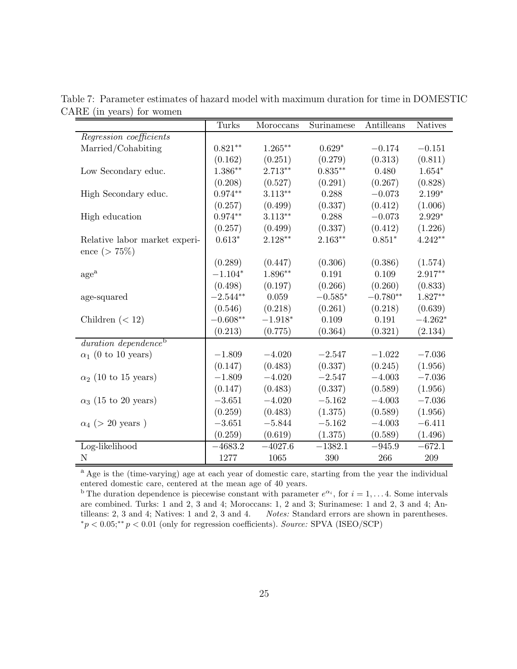|                                  | Turks      | Moroccans  | Surinamese      | Antilleans | <b>Natives</b> |
|----------------------------------|------------|------------|-----------------|------------|----------------|
| Regression coefficients          |            |            |                 |            |                |
| Married/Cohabiting               | $0.821**$  | $1.265***$ | $0.629*$        | $-0.174$   | $-0.151$       |
|                                  | (0.162)    | (0.251)    | (0.279)         | (0.313)    | (0.811)        |
| Low Secondary educ.              | $1.386**$  | $2.713**$  | $0.835***$      | 0.480      | $1.654*$       |
|                                  | (0.208)    | (0.527)    | (0.291)         | (0.267)    | (0.828)        |
| High Secondary educ.             | $0.974**$  | $3.113**$  | 0.288           | $-0.073$   | $2.199*$       |
|                                  | (0.257)    | (0.499)    | (0.337)         | (0.412)    | (1.006)        |
| High education                   | $0.974**$  | $3.113**$  | 0.288           | $-0.073$   | $2.929*$       |
|                                  | (0.257)    | (0.499)    | (0.337)         | (0.412)    | (1.226)        |
| Relative labor market experi-    | $0.613*$   | 2.128**    | $2.163**$       | $0.851*$   | $4.242**$      |
| ence ( $> 75\%$ )                |            |            |                 |            |                |
|                                  | (0.289)    | (0.447)    | (0.306)         | (0.386)    | (1.574)        |
| age <sup>a</sup>                 | $-1.104*$  | $1.896**$  | 0.191           | 0.109      | $2.917**$      |
|                                  | (0.498)    | (0.197)    | (0.266)         | (0.260)    | (0.833)        |
| age-squared                      | $-2.544**$ | 0.059      | $-0.585^{\ast}$ | $-0.780**$ | $1.827**$      |
|                                  | (0.546)    | (0.218)    | (0.261)         | (0.218)    | (0.639)        |
| Children $(< 12)$                | $-0.608**$ | $-1.918*$  | 0.109           | 0.191      | $-4.262*$      |
|                                  | (0.213)    | (0.775)    | (0.364)         | (0.321)    | (2.134)        |
| duration dependence <sup>b</sup> |            |            |                 |            |                |
| $\alpha_1$ (0 to 10 years)       | $-1.809$   | $-4.020$   | $-2.547$        | $-1.022$   | $-7.036$       |
|                                  | (0.147)    | (0.483)    | (0.337)         | (0.245)    | (1.956)        |
| $\alpha_2$ (10 to 15 years)      | $-1.809$   | $-4.020$   | $-2.547$        | $-4.003$   | $-7.036$       |
|                                  | (0.147)    | (0.483)    | (0.337)         | (0.589)    | (1.956)        |
| $\alpha_3$ (15 to 20 years)      | $-3.651$   | $-4.020$   | $-5.162$        | $-4.003$   | $-7.036$       |
|                                  | (0.259)    | (0.483)    | (1.375)         | (0.589)    | (1.956)        |
| $\alpha_4$ (> 20 years)          | $-3.651$   | $-5.844$   | $-5.162$        | $-4.003$   | $-6.411$       |
|                                  | (0.259)    | (0.619)    | (1.375)         | (0.589)    | (1.496)        |
| Log-likelihood                   | $-4683.2$  | $-4027.6$  | $-1382.1$       | $-945.9$   | $-672.1$       |
| N                                | 1277       | 1065       | 390             | 266        | 209            |

Table 7: Parameter estimates of hazard model with maximum duration for time in DOMESTIC CARE (in years) for women

<sup>a</sup> Age is the (time-varying) age at each year of domestic care, starting from the year the individual entered domestic care, centered at the mean age of 40 years.

<sup>b</sup> The duration dependence is piecewise constant with parameter  $e^{\alpha_i}$ , for  $i = 1, \ldots 4$ . Some intervals are combined. Turks: 1 and 2, 3 and 4; Moroccans: 1, 2 and 3; Surinamese: 1 and 2, 3 and 4; Antilleans: 2, 3 and 4; Natives: 1 and 2, 3 and 4. Notes: Standard errors are shown in parentheses.  $*p < 0.05; **p < 0.01$  (only for regression coefficients). Source: SPVA (ISEO/SCP)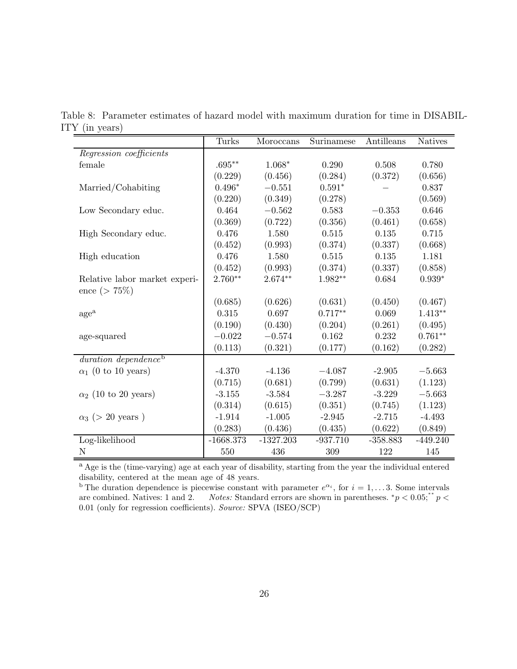|                                  | Turks       | Moroccans   | Surinamese | Antilleans | <b>Natives</b> |
|----------------------------------|-------------|-------------|------------|------------|----------------|
| Regression coefficients          |             |             |            |            |                |
| female                           | $.695**$    | $1.068*$    | 0.290      | 0.508      | 0.780          |
|                                  | (0.229)     | (0.456)     | (0.284)    | (0.372)    | (0.656)        |
| Married/Cohabiting               | $0.496*$    | $-0.551$    | $0.591*$   |            | 0.837          |
|                                  | (0.220)     | (0.349)     | (0.278)    |            | (0.569)        |
| Low Secondary educ.              | 0.464       | $-0.562$    | 0.583      | $-0.353$   | 0.646          |
|                                  | (0.369)     | (0.722)     | (0.356)    | (0.461)    | (0.658)        |
| High Secondary educ.             | 0.476       | 1.580       | 0.515      | 0.135      | 0.715          |
|                                  | (0.452)     | (0.993)     | (0.374)    | (0.337)    | (0.668)        |
| High education                   | 0.476       | 1.580       | 0.515      | 0.135      | 1.181          |
|                                  | (0.452)     | (0.993)     | (0.374)    | (0.337)    | (0.858)        |
| Relative labor market experi-    | $2.760**$   | $2.674**$   | $1.982**$  | 0.684      | $0.939*$       |
| ence ( $> 75\%$ )                |             |             |            |            |                |
|                                  | (0.685)     | (0.626)     | (0.631)    | (0.450)    | (0.467)        |
| age <sup>a</sup>                 | 0.315       | 0.697       | $0.717**$  | 0.069      | $1.413**$      |
|                                  | (0.190)     | (0.430)     | (0.204)    | (0.261)    | (0.495)        |
| age-squared                      | $-0.022$    | $-0.574$    | 0.162      | 0.232      | $0.761**$      |
|                                  | (0.113)     | (0.321)     | (0.177)    | (0.162)    | (0.282)        |
| duration dependence <sup>b</sup> |             |             |            |            |                |
| $\alpha_1$ (0 to 10 years)       | $-4.370$    | $-4.136$    | $-4.087$   | $-2.905$   | $-5.663$       |
|                                  | (0.715)     | (0.681)     | (0.799)    | (0.631)    | (1.123)        |
| $\alpha_2$ (10 to 20 years)      | $-3.155$    | $-3.584$    | $-3.287$   | $-3.229$   | $-5.663$       |
|                                  | (0.314)     | (0.615)     | (0.351)    | (0.745)    | (1.123)        |
| $\alpha_3$ (> 20 years)          | $-1.914$    | $-1.005$    | $-2.945$   | $-2.715$   | $-4.493$       |
|                                  | (0.283)     | (0.436)     | (0.435)    | (0.622)    | (0.849)        |
| Log-likelihood                   | $-1668.373$ | $-1327.203$ | $-937.710$ | $-358.883$ | $-449.240$     |
| N                                | 550         | 436         | 309        | 122        | 145            |

Table 8: Parameter estimates of hazard model with maximum duration for time in DISABIL-ITY (in years)

<sup>a</sup> Age is the (time-varying) age at each year of disability, starting from the year the individual entered disability, centered at the mean age of 48 years.

<sup>b</sup> The duration dependence is piecewise constant with parameter  $e^{\alpha_i}$ , for  $i = 1, \ldots 3$ . Some intervals are combined. Natives: 1 and 2. Notes: Standard errors are shown in parentheses.  $^*p < 0.05$ ;  $^*p <$ 0.01 (only for regression coefficients). Source: SPVA (ISEO/SCP)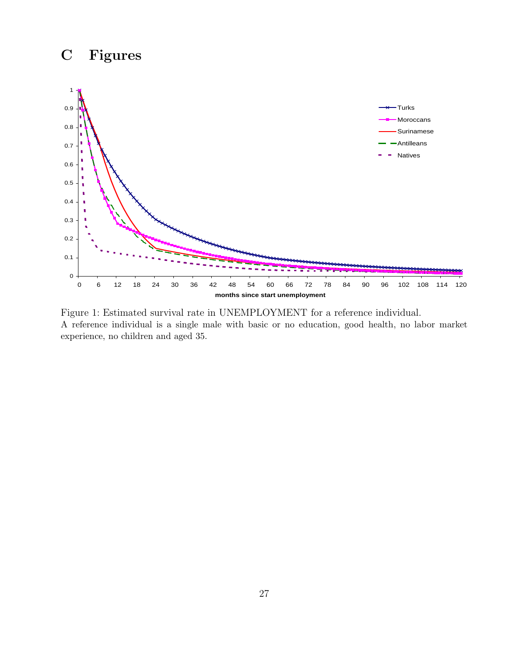# C Figures



Figure 1: Estimated survival rate in UNEMPLOYMENT for a reference individual. A reference individual is a single male with basic or no education, good health, no labor market experience, no children and aged 35.